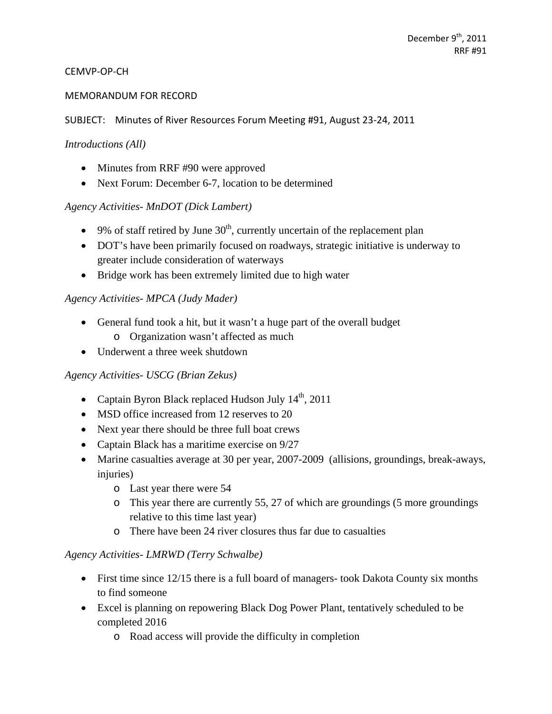### CEMVP‐OP‐CH

### MEMORANDUM FOR RECORD

### SUBJECT: Minutes of River Resources Forum Meeting #91, August 23‐24, 2011

#### *Introductions (All)*

- Minutes from RRF #90 were approved
- Next Forum: December 6-7, location to be determined

### *Agency Activities- MnDOT (Dick Lambert)*

- $\bullet$  9% of staff retired by June 30<sup>th</sup>, currently uncertain of the replacement plan
- DOT's have been primarily focused on roadways, strategic initiative is underway to greater include consideration of waterways
- Bridge work has been extremely limited due to high water

### *Agency Activities- MPCA (Judy Mader)*

- General fund took a hit, but it wasn't a huge part of the overall budget
	- o Organization wasn't affected as much
- Underwent a three week shutdown

### *Agency Activities- USCG (Brian Zekus)*

- Captain Byron Black replaced Hudson July  $14<sup>th</sup>$ , 2011
- MSD office increased from 12 reserves to 20
- Next year there should be three full boat crews
- Captain Black has a maritime exercise on  $9/27$
- Marine casualties average at 30 per year, 2007-2009 (allisions, groundings, break-aways, injuries)
	- o Last year there were 54
	- o This year there are currently 55, 27 of which are groundings (5 more groundings relative to this time last year)
	- o There have been 24 river closures thus far due to casualties

### *Agency Activities- LMRWD (Terry Schwalbe)*

- First time since 12/15 there is a full board of managers- took Dakota County six months to find someone
- Excel is planning on repowering Black Dog Power Plant, tentatively scheduled to be completed 2016
	- o Road access will provide the difficulty in completion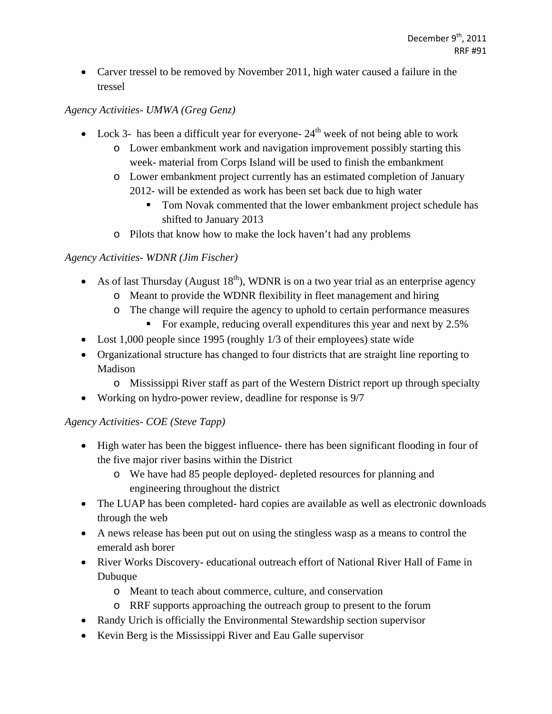• Carver tressel to be removed by November 2011, high water caused a failure in the tressel

# *Agency Activities- UMWA (Greg Genz)*

- Lock 3- has been a difficult year for everyone-  $24<sup>th</sup>$  week of not being able to work
	- o Lower embankment work and navigation improvement possibly starting this week- material from Corps Island will be used to finish the embankment
	- o Lower embankment project currently has an estimated completion of January 2012- will be extended as work has been set back due to high water
		- Tom Novak commented that the lower embankment project schedule has shifted to January 2013
	- o Pilots that know how to make the lock haven't had any problems

## *Agency Activities- WDNR (Jim Fischer)*

- As of last Thursday (August  $18<sup>th</sup>$ ), WDNR is on a two year trial as an enterprise agency
	- o Meant to provide the WDNR flexibility in fleet management and hiring
	- o The change will require the agency to uphold to certain performance measures
		- For example, reducing overall expenditures this year and next by 2.5%
- Lost 1,000 people since 1995 (roughly 1/3 of their employees) state wide
- Organizational structure has changed to four districts that are straight line reporting to Madison
	- o Mississippi River staff as part of the Western District report up through specialty
- Working on hydro-power review, deadline for response is 9/7

# *Agency Activities- COE (Steve Tapp)*

- High water has been the biggest influence- there has been significant flooding in four of the five major river basins within the District
	- o We have had 85 people deployed- depleted resources for planning and engineering throughout the district
- The LUAP has been completed- hard copies are available as well as electronic downloads through the web
- A news release has been put out on using the stingless wasp as a means to control the emerald ash borer
- River Works Discovery- educational outreach effort of National River Hall of Fame in Dubuque
	- o Meant to teach about commerce, culture, and conservation
	- o RRF supports approaching the outreach group to present to the forum
- Randy Urich is officially the Environmental Stewardship section supervisor
- Kevin Berg is the Mississippi River and Eau Galle supervisor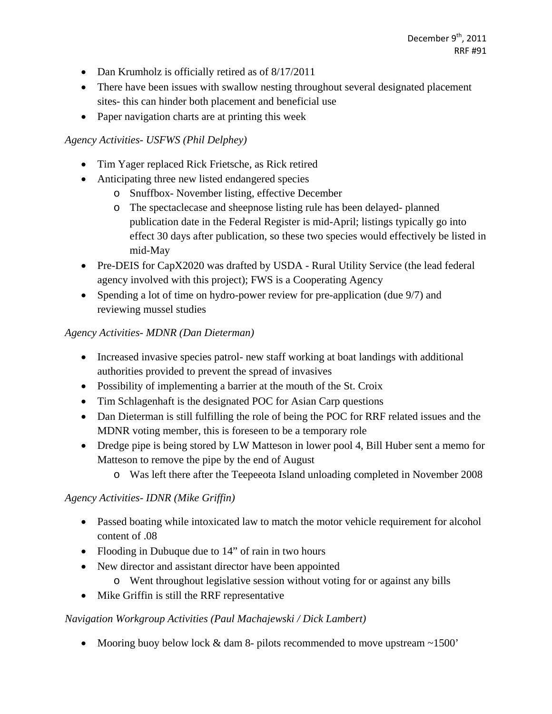- Dan Krumholz is officially retired as of 8/17/2011
- There have been issues with swallow nesting throughout several designated placement sites- this can hinder both placement and beneficial use
- Paper navigation charts are at printing this week

### *Agency Activities- USFWS (Phil Delphey)*

- Tim Yager replaced Rick Frietsche, as Rick retired
- Anticipating three new listed endangered species
	- o Snuffbox- November listing, effective December
	- o The spectaclecase and sheepnose listing rule has been delayed- planned publication date in the Federal Register is mid-April; listings typically go into effect 30 days after publication, so these two species would effectively be listed in mid-May
- Pre-DEIS for CapX2020 was drafted by USDA Rural Utility Service (the lead federal agency involved with this project); FWS is a Cooperating Agency
- Spending a lot of time on hydro-power review for pre-application (due 9/7) and reviewing mussel studies

## *Agency Activities- MDNR (Dan Dieterman)*

- Increased invasive species patrol- new staff working at boat landings with additional authorities provided to prevent the spread of invasives
- Possibility of implementing a barrier at the mouth of the St. Croix
- Tim Schlagenhaft is the designated POC for Asian Carp questions
- Dan Dieterman is still fulfilling the role of being the POC for RRF related issues and the MDNR voting member, this is foreseen to be a temporary role
- Dredge pipe is being stored by LW Matteson in lower pool 4, Bill Huber sent a memo for Matteson to remove the pipe by the end of August
	- o Was left there after the Teepeeota Island unloading completed in November 2008

### *Agency Activities- IDNR (Mike Griffin)*

- Passed boating while intoxicated law to match the motor vehicle requirement for alcohol content of .08
- Flooding in Dubuque due to 14" of rain in two hours
- New director and assistant director have been appointed
	- o Went throughout legislative session without voting for or against any bills
- Mike Griffin is still the RRF representative

### *Navigation Workgroup Activities (Paul Machajewski / Dick Lambert)*

• Mooring buoy below lock  $&$  dam 8- pilots recommended to move upstream  $\sim$ 1500'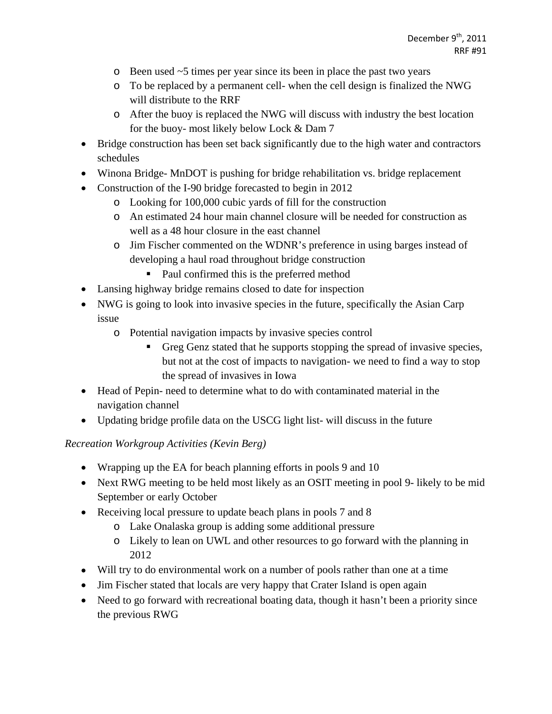- o Been used ~5 times per year since its been in place the past two years
- o To be replaced by a permanent cell- when the cell design is finalized the NWG will distribute to the RRF
- o After the buoy is replaced the NWG will discuss with industry the best location for the buoy- most likely below Lock & Dam 7
- Bridge construction has been set back significantly due to the high water and contractors schedules
- Winona Bridge- MnDOT is pushing for bridge rehabilitation vs. bridge replacement
- Construction of the I-90 bridge forecasted to begin in 2012
	- o Looking for 100,000 cubic yards of fill for the construction
	- o An estimated 24 hour main channel closure will be needed for construction as well as a 48 hour closure in the east channel
	- o Jim Fischer commented on the WDNR's preference in using barges instead of developing a haul road throughout bridge construction
		- Paul confirmed this is the preferred method
- Lansing highway bridge remains closed to date for inspection
- NWG is going to look into invasive species in the future, specifically the Asian Carp issue
	- o Potential navigation impacts by invasive species control
		- Greg Genz stated that he supports stopping the spread of invasive species, but not at the cost of impacts to navigation- we need to find a way to stop the spread of invasives in Iowa
- Head of Pepin- need to determine what to do with contaminated material in the navigation channel
- Updating bridge profile data on the USCG light list- will discuss in the future

*Recreation Workgroup Activities (Kevin Berg)* 

- Wrapping up the EA for beach planning efforts in pools 9 and 10
- Next RWG meeting to be held most likely as an OSIT meeting in pool 9- likely to be mid September or early October
- Receiving local pressure to update beach plans in pools 7 and 8
	- o Lake Onalaska group is adding some additional pressure
	- o Likely to lean on UWL and other resources to go forward with the planning in 2012
- Will try to do environmental work on a number of pools rather than one at a time
- Jim Fischer stated that locals are very happy that Crater Island is open again
- Need to go forward with recreational boating data, though it hasn't been a priority since the previous RWG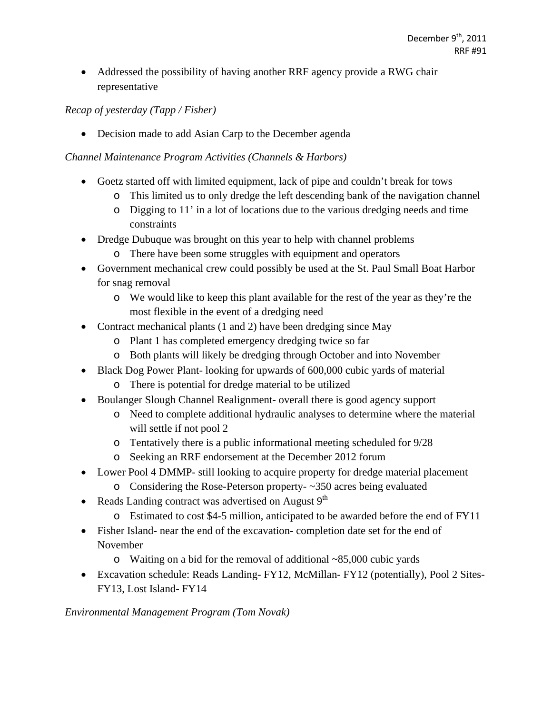Addressed the possibility of having another RRF agency provide a RWG chair representative

## *Recap of yesterday (Tapp / Fisher)*

• Decision made to add Asian Carp to the December agenda

## *Channel Maintenance Program Activities (Channels & Harbors)*

- Goetz started off with limited equipment, lack of pipe and couldn't break for tows
	- o This limited us to only dredge the left descending bank of the navigation channel
	- o Digging to 11' in a lot of locations due to the various dredging needs and time constraints
- Dredge Dubuque was brought on this year to help with channel problems
	- o There have been some struggles with equipment and operators
- Government mechanical crew could possibly be used at the St. Paul Small Boat Harbor for snag removal
	- o We would like to keep this plant available for the rest of the year as they're the most flexible in the event of a dredging need
- Contract mechanical plants (1 and 2) have been dredging since May
	- o Plant 1 has completed emergency dredging twice so far
	- o Both plants will likely be dredging through October and into November
- Black Dog Power Plant-looking for upwards of 600,000 cubic yards of material o There is potential for dredge material to be utilized
- Boulanger Slough Channel Realignment- overall there is good agency support
	- o Need to complete additional hydraulic analyses to determine where the material will settle if not pool 2
	- o Tentatively there is a public informational meeting scheduled for 9/28
	- o Seeking an RRF endorsement at the December 2012 forum
- Lower Pool 4 DMMP- still looking to acquire property for dredge material placement
	- o Considering the Rose-Peterson property- ~350 acres being evaluated
- Reads Landing contract was advertised on August  $9<sup>th</sup>$ 
	- o Estimated to cost \$4-5 million, anticipated to be awarded before the end of FY11
- Fisher Island- near the end of the excavation- completion date set for the end of November
	- o Waiting on a bid for the removal of additional ~85,000 cubic yards
- Excavation schedule: Reads Landing- FY12, McMillan- FY12 (potentially), Pool 2 Sites-FY13, Lost Island- FY14

*Environmental Management Program (Tom Novak)*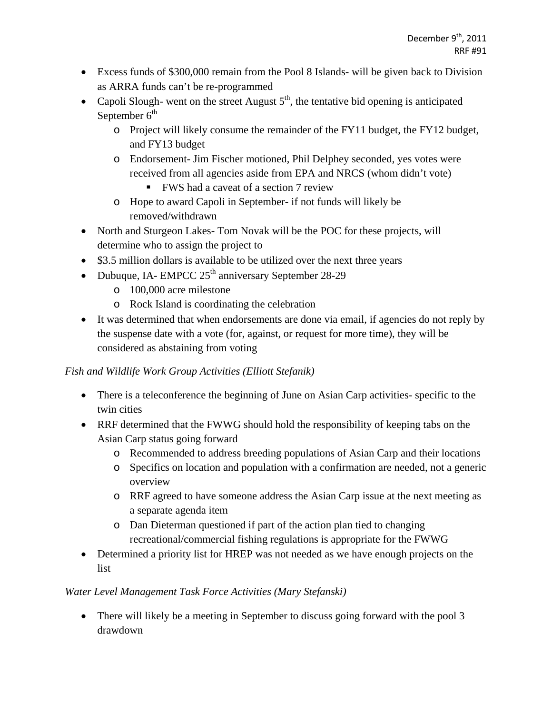- Excess funds of \$300,000 remain from the Pool 8 Islands- will be given back to Division as ARRA funds can't be re-programmed
- Capoli Slough- went on the street August  $5<sup>th</sup>$ , the tentative bid opening is anticipated September  $6<sup>th</sup>$ 
	- o Project will likely consume the remainder of the FY11 budget, the FY12 budget, and FY13 budget
	- o Endorsement- Jim Fischer motioned, Phil Delphey seconded, yes votes were received from all agencies aside from EPA and NRCS (whom didn't vote)
		- FWS had a caveat of a section 7 review
	- o Hope to award Capoli in September- if not funds will likely be removed/withdrawn
- North and Sturgeon Lakes- Tom Novak will be the POC for these projects, will determine who to assign the project to
- \$3.5 million dollars is available to be utilized over the next three years
- Dubuque, IA- EMPCC  $25<sup>th</sup>$  anniversary September 28-29
	- o 100,000 acre milestone
	- o Rock Island is coordinating the celebration
- It was determined that when endorsements are done via email, if agencies do not reply by the suspense date with a vote (for, against, or request for more time), they will be considered as abstaining from voting

# *Fish and Wildlife Work Group Activities (Elliott Stefanik)*

- There is a teleconference the beginning of June on Asian Carp activities- specific to the twin cities
- RRF determined that the FWWG should hold the responsibility of keeping tabs on the Asian Carp status going forward
	- o Recommended to address breeding populations of Asian Carp and their locations
	- o Specifics on location and population with a confirmation are needed, not a generic overview
	- o RRF agreed to have someone address the Asian Carp issue at the next meeting as a separate agenda item
	- o Dan Dieterman questioned if part of the action plan tied to changing recreational/commercial fishing regulations is appropriate for the FWWG
- Determined a priority list for HREP was not needed as we have enough projects on the list

# *Water Level Management Task Force Activities (Mary Stefanski)*

• There will likely be a meeting in September to discuss going forward with the pool 3 drawdown